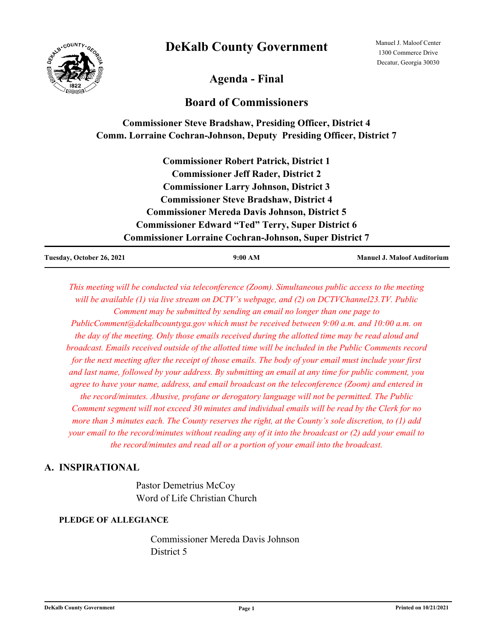

# **DeKalb County Government**

**Agenda - Final**

# **Board of Commissioners**

# **Commissioner Steve Bradshaw, Presiding Officer, District 4 Comm. Lorraine Cochran-Johnson, Deputy Presiding Officer, District 7**

**Commissioner Robert Patrick, District 1 Commissioner Jeff Rader, District 2 Commissioner Larry Johnson, District 3 Commissioner Steve Bradshaw, District 4 Commissioner Mereda Davis Johnson, District 5 Commissioner Edward "Ted" Terry, Super District 6 Commissioner Lorraine Cochran-Johnson, Super District 7**

| Tuesday, October 26, 2021 | 9:00 AM | <b>Manuel J. Maloof Auditorium</b> |
|---------------------------|---------|------------------------------------|
|                           |         |                                    |

*This meeting will be conducted via teleconference (Zoom). Simultaneous public access to the meeting will be available (1) via live stream on DCTV's webpage, and (2) on DCTVChannel23.TV. Public Comment may be submitted by sending an email no longer than one page to PublicComment@dekalbcountyga.gov which must be received between 9:00 a.m. and 10:00 a.m. on the day of the meeting. Only those emails received during the allotted time may be read aloud and broadcast. Emails received outside of the allotted time will be included in the Public Comments record for the next meeting after the receipt of those emails. The body of your email must include your first and last name, followed by your address. By submitting an email at any time for public comment, you agree to have your name, address, and email broadcast on the teleconference (Zoom) and entered in the record/minutes. Abusive, profane or derogatory language will not be permitted. The Public Comment segment will not exceed 30 minutes and individual emails will be read by the Clerk for no more than 3 minutes each. The County reserves the right, at the County's sole discretion, to (1) add your email to the record/minutes without reading any of it into the broadcast or (2) add your email to the record/minutes and read all or a portion of your email into the broadcast.*

# **A. INSPIRATIONAL**

Pastor Demetrius McCoy Word of Life Christian Church

# **PLEDGE OF ALLEGIANCE**

Commissioner Mereda Davis Johnson District 5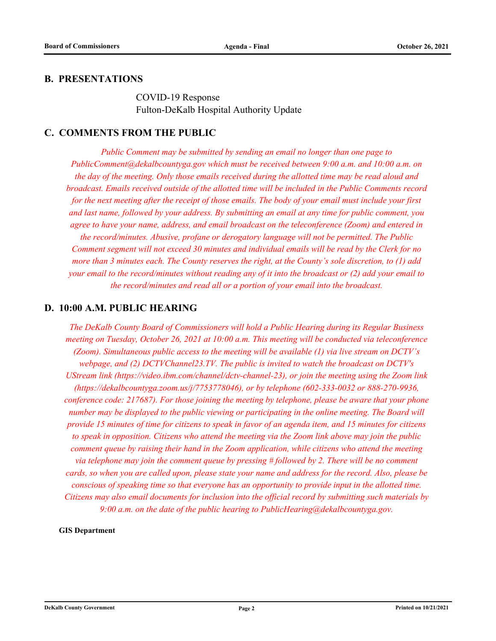## **B. PRESENTATIONS**

COVID-19 Response Fulton-DeKalb Hospital Authority Update

# **C. COMMENTS FROM THE PUBLIC**

*Public Comment may be submitted by sending an email no longer than one page to PublicComment@dekalbcountyga.gov which must be received between 9:00 a.m. and 10:00 a.m. on the day of the meeting. Only those emails received during the allotted time may be read aloud and broadcast. Emails received outside of the allotted time will be included in the Public Comments record for the next meeting after the receipt of those emails. The body of your email must include your first and last name, followed by your address. By submitting an email at any time for public comment, you agree to have your name, address, and email broadcast on the teleconference (Zoom) and entered in the record/minutes. Abusive, profane or derogatory language will not be permitted. The Public Comment segment will not exceed 30 minutes and individual emails will be read by the Clerk for no more than 3 minutes each. The County reserves the right, at the County's sole discretion, to (1) add your email to the record/minutes without reading any of it into the broadcast or (2) add your email to the record/minutes and read all or a portion of your email into the broadcast.*

# **D. 10:00 A.M. PUBLIC HEARING**

*The DeKalb County Board of Commissioners will hold a Public Hearing during its Regular Business meeting on Tuesday, October 26, 2021 at 10:00 a.m. This meeting will be conducted via teleconference (Zoom). Simultaneous public access to the meeting will be available (1) via live stream on DCTV's webpage, and (2) DCTVChannel23.TV. The public is invited to watch the broadcast on DCTV's UStream link (https://video.ibm.com/channel/dctv-channel-23), or join the meeting using the Zoom link (https://dekalbcountyga.zoom.us/j/7753778046), or by telephone (602-333-0032 or 888-270-9936, conference code: 217687). For those joining the meeting by telephone, please be aware that your phone number may be displayed to the public viewing or participating in the online meeting. The Board will provide 15 minutes of time for citizens to speak in favor of an agenda item, and 15 minutes for citizens to speak in opposition. Citizens who attend the meeting via the Zoom link above may join the public comment queue by raising their hand in the Zoom application, while citizens who attend the meeting via telephone may join the comment queue by pressing # followed by 2. There will be no comment cards, so when you are called upon, please state your name and address for the record. Also, please be conscious of speaking time so that everyone has an opportunity to provide input in the allotted time. Citizens may also email documents for inclusion into the official record by submitting such materials by 9:00 a.m. on the date of the public hearing to PublicHearing@dekalbcountyga.gov.*

#### **GIS Department**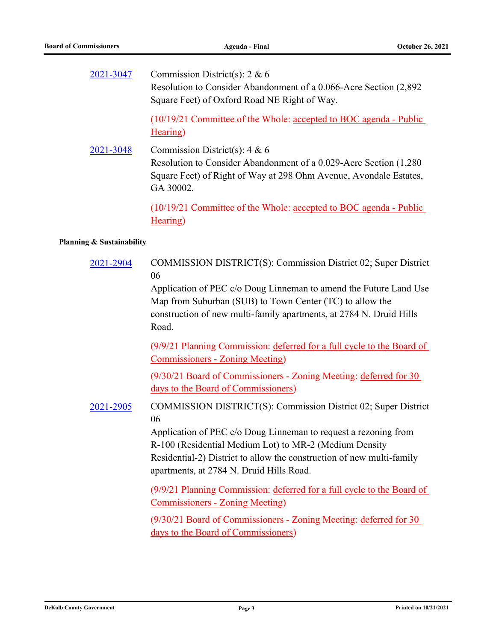| 2021-3047 | Commission District(s): $2 & 6$<br>Resolution to Consider Abandonment of a 0.066-Acre Section (2,892)<br>Square Feet) of Oxford Road NE Right of Way.                                   |
|-----------|-----------------------------------------------------------------------------------------------------------------------------------------------------------------------------------------|
|           | $(10/19/21$ Committee of the Whole: accepted to BOC agenda - Public<br>Hearing)                                                                                                         |
| 2021-3048 | Commission District(s): $4 & 6$<br>Resolution to Consider Abandonment of a 0.029-Acre Section (1,280)<br>Square Feet) of Right of Way at 298 Ohm Avenue, Avondale Estates,<br>GA 30002. |
|           | $(10/19/21$ Committee of the Whole: accepted to BOC agenda - Public<br>Hearing)                                                                                                         |

# **Planning & Sustainability**

| 2021-2904 | COMMISSION DISTRICT(S): Commission District 02; Super District<br>06                                                                                                                                                                                                                                                   |
|-----------|------------------------------------------------------------------------------------------------------------------------------------------------------------------------------------------------------------------------------------------------------------------------------------------------------------------------|
|           | Application of PEC c/o Doug Linneman to amend the Future Land Use<br>Map from Suburban (SUB) to Town Center (TC) to allow the<br>construction of new multi-family apartments, at 2784 N. Druid Hills<br>Road.                                                                                                          |
|           | (9/9/21 Planning Commission: deferred for a full cycle to the Board of<br><b>Commissioners - Zoning Meeting</b> )                                                                                                                                                                                                      |
|           | (9/30/21 Board of Commissioners - Zoning Meeting: deferred for 30<br>days to the Board of Commissioners)                                                                                                                                                                                                               |
| 2021-2905 | COMMISSION DISTRICT(S): Commission District 02; Super District<br>06<br>Application of PEC c/o Doug Linneman to request a rezoning from<br>R-100 (Residential Medium Lot) to MR-2 (Medium Density<br>Residential-2) District to allow the construction of new multi-family<br>apartments, at 2784 N. Druid Hills Road. |
|           | (9/9/21 Planning Commission: deferred for a full cycle to the Board of<br><b>Commissioners - Zoning Meeting)</b>                                                                                                                                                                                                       |
|           | (9/30/21 Board of Commissioners - Zoning Meeting: deferred for 30<br>days to the Board of Commissioners)                                                                                                                                                                                                               |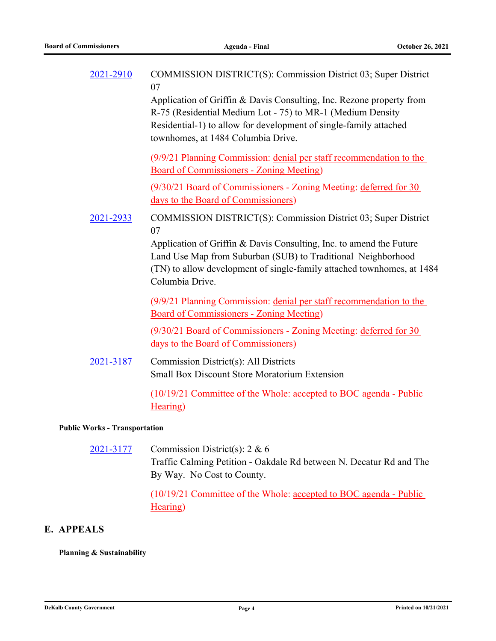| 2021-2910 | COMMISSION DISTRICT(S): Commission District 03; Super District<br>07<br>Application of Griffin & Davis Consulting, Inc. Rezone property from<br>R-75 (Residential Medium Lot - 75) to MR-1 (Medium Density<br>Residential-1) to allow for development of single-family attached<br>townhomes, at 1484 Columbia Drive. |
|-----------|-----------------------------------------------------------------------------------------------------------------------------------------------------------------------------------------------------------------------------------------------------------------------------------------------------------------------|
|           | (9/9/21 Planning Commission: denial per staff recommendation to the<br><b>Board of Commissioners - Zoning Meeting)</b>                                                                                                                                                                                                |
|           | (9/30/21 Board of Commissioners - Zoning Meeting: deferred for 30<br>days to the Board of Commissioners)                                                                                                                                                                                                              |
| 2021-2933 | COMMISSION DISTRICT(S): Commission District 03; Super District<br>07<br>Application of Griffin & Davis Consulting, Inc. to amend the Future<br>Land Use Map from Suburban (SUB) to Traditional Neighborhood<br>(TN) to allow development of single-family attached townhomes, at 1484<br>Columbia Drive.              |
|           | (9/9/21 Planning Commission: denial per staff recommendation to the<br><b>Board of Commissioners - Zoning Meeting)</b>                                                                                                                                                                                                |
|           | (9/30/21 Board of Commissioners - Zoning Meeting: deferred for 30<br>days to the Board of Commissioners)                                                                                                                                                                                                              |
| 2021-3187 | Commission District(s): All Districts<br><b>Small Box Discount Store Moratorium Extension</b>                                                                                                                                                                                                                         |
|           |                                                                                                                                                                                                                                                                                                                       |

(10/19/21 Committee of the Whole: accepted to BOC agenda - Public Hearing)

# **Public Works - Transportation**

Commission District(s): 2 & 6 Traffic Calming Petition - Oakdale Rd between N. Decatur Rd and The By Way. No Cost to County. [2021-3177](http://dekalbcountyga.legistar.com/gateway.aspx?m=l&id=/matter.aspx?key=9413)

> (10/19/21 Committee of the Whole: accepted to BOC agenda - Public Hearing)

# **E. APPEALS**

## **Planning & Sustainability**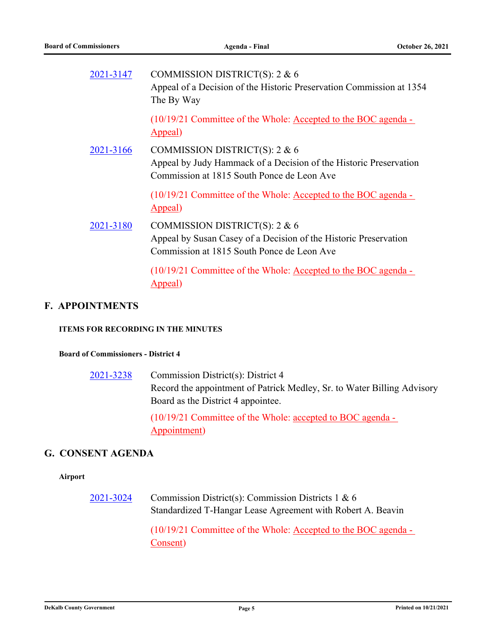| 2021-3147 | COMMISSION DISTRICT(S): 2 & 6<br>Appeal of a Decision of the Historic Preservation Commission at 1354<br>The By Way                              |
|-----------|--------------------------------------------------------------------------------------------------------------------------------------------------|
|           | $(10/19/21$ Committee of the Whole: Accepted to the BOC agenda -<br>Appeal)                                                                      |
| 2021-3166 | COMMISSION DISTRICT(S): 2 & 6<br>Appeal by Judy Hammack of a Decision of the Historic Preservation<br>Commission at 1815 South Ponce de Leon Ave |
|           | (10/19/21 Committee of the Whole: Accepted to the BOC agenda -<br>Appeal)                                                                        |
| 2021-3180 | COMMISSION DISTRICT(S): 2 & 6<br>Appeal by Susan Casey of a Decision of the Historic Preservation<br>Commission at 1815 South Ponce de Leon Ave  |
|           | (10/19/21 Committee of the Whole: Accepted to the BOC agenda -<br>Appeal)                                                                        |

# **F. APPOINTMENTS**

### **ITEMS FOR RECORDING IN THE MINUTES**

## **Board of Commissioners - District 4**

Commission District(s): District 4 Record the appointment of Patrick Medley, Sr. to Water Billing Advisory Board as the District 4 appointee. [2021-3238](http://dekalbcountyga.legistar.com/gateway.aspx?m=l&id=/matter.aspx?key=9474)

> (10/19/21 Committee of the Whole: accepted to BOC agenda - Appointment)

# **G. CONSENT AGENDA**

## **Airport**

Commission District(s): Commission Districts 1 & 6 Standardized T-Hangar Lease Agreement with Robert A. Beavin [2021-3024](http://dekalbcountyga.legistar.com/gateway.aspx?m=l&id=/matter.aspx?key=9260)

> (10/19/21 Committee of the Whole: Accepted to the BOC agenda - Consent)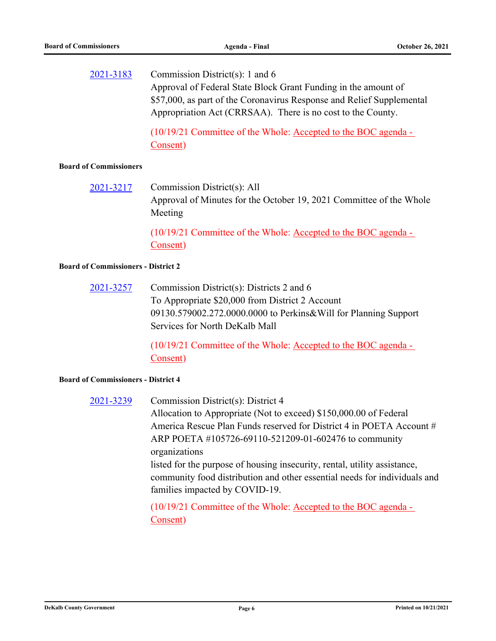Commission District(s): 1 and 6 Approval of Federal State Block Grant Funding in the amount of \$57,000, as part of the Coronavirus Response and Relief Supplemental Appropriation Act (CRRSAA). There is no cost to the County. [2021-3183](http://dekalbcountyga.legistar.com/gateway.aspx?m=l&id=/matter.aspx?key=9419)

> (10/19/21 Committee of the Whole: Accepted to the BOC agenda - Consent)

#### **Board of Commissioners**

Commission District(s): All Approval of Minutes for the October 19, 2021 Committee of the Whole Meeting [2021-3217](http://dekalbcountyga.legistar.com/gateway.aspx?m=l&id=/matter.aspx?key=9453)

> (10/19/21 Committee of the Whole: Accepted to the BOC agenda - Consent)

#### **Board of Commissioners - District 2**

Commission District(s): Districts 2 and 6 To Appropriate \$20,000 from District 2 Account 09130.579002.272.0000.0000 to Perkins&Will for Planning Support Services for North DeKalb Mall [2021-3257](http://dekalbcountyga.legistar.com/gateway.aspx?m=l&id=/matter.aspx?key=9493)

> (10/19/21 Committee of the Whole: Accepted to the BOC agenda - Consent)

#### **Board of Commissioners - District 4**

Commission District(s): District 4 Allocation to Appropriate (Not to exceed) \$150,000.00 of Federal America Rescue Plan Funds reserved for District 4 in POETA Account # ARP POETA #105726-69110-521209-01-602476 to community organizations listed for the purpose of housing insecurity, rental, utility assistance, community food distribution and other essential needs for individuals and families impacted by COVID-19. [2021-3239](http://dekalbcountyga.legistar.com/gateway.aspx?m=l&id=/matter.aspx?key=9475)

> (10/19/21 Committee of the Whole: Accepted to the BOC agenda - Consent)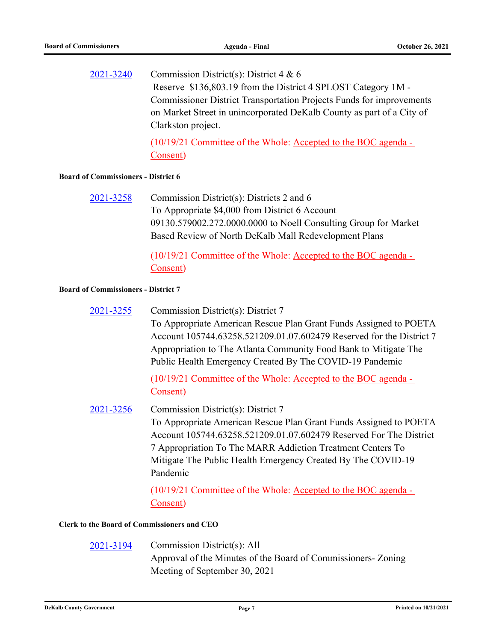Commission District(s): District 4 & 6 Reserve \$136,803.19 from the District 4 SPLOST Category 1M - Commissioner District Transportation Projects Funds for improvements on Market Street in unincorporated DeKalb County as part of a City of Clarkston project. [2021-3240](http://dekalbcountyga.legistar.com/gateway.aspx?m=l&id=/matter.aspx?key=9476)

> (10/19/21 Committee of the Whole: Accepted to the BOC agenda - Consent)

#### **Board of Commissioners - District 6**

Commission District(s): Districts 2 and 6 To Appropriate \$4,000 from District 6 Account 09130.579002.272.0000.0000 to Noell Consulting Group for Market Based Review of North DeKalb Mall Redevelopment Plans [2021-3258](http://dekalbcountyga.legistar.com/gateway.aspx?m=l&id=/matter.aspx?key=9494)

> (10/19/21 Committee of the Whole: Accepted to the BOC agenda - Consent)

#### **Board of Commissioners - District 7**

|  | 2021-3255 | Commission District(s): District 7 |
|--|-----------|------------------------------------|
|--|-----------|------------------------------------|

To Appropriate American Rescue Plan Grant Funds Assigned to POETA Account 105744.63258.521209.01.07.602479 Reserved for the District 7 Appropriation to The Atlanta Community Food Bank to Mitigate The Public Health Emergency Created By The COVID-19 Pandemic

(10/19/21 Committee of the Whole: Accepted to the BOC agenda - Consent)

Commission District(s): District 7 To Appropriate American Rescue Plan Grant Funds Assigned to POETA Account 105744.63258.521209.01.07.602479 Reserved For The District 7 Appropriation To The MARR Addiction Treatment Centers To Mitigate The Public Health Emergency Created By The COVID-19 Pandemic [2021-3256](http://dekalbcountyga.legistar.com/gateway.aspx?m=l&id=/matter.aspx?key=9492)

> (10/19/21 Committee of the Whole: Accepted to the BOC agenda - Consent)

#### **Clerk to the Board of Commissioners and CEO**

Commission District(s): All Approval of the Minutes of the Board of Commissioners- Zoning Meeting of September 30, 2021 [2021-3194](http://dekalbcountyga.legistar.com/gateway.aspx?m=l&id=/matter.aspx?key=9430)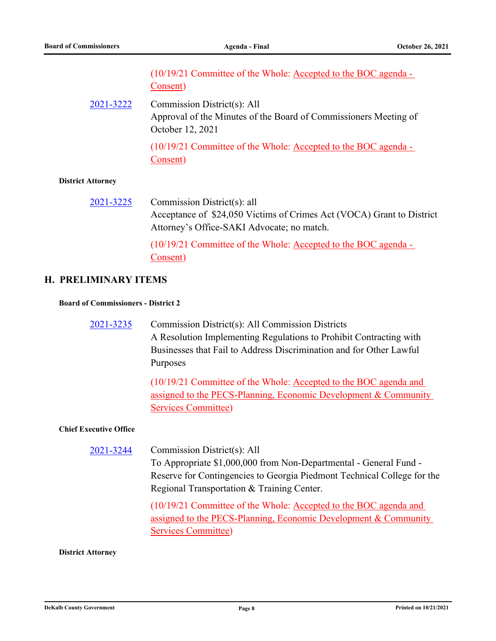|           | $(10/19/21$ Committee of the Whole: Accepted to the BOC agenda -<br>Consent)                                        |
|-----------|---------------------------------------------------------------------------------------------------------------------|
| 2021-3222 | Commission District(s): All<br>Approval of the Minutes of the Board of Commissioners Meeting of<br>October 12, 2021 |
|           | $(10/19/21$ Committee of the Whole: Accepted to the BOC agenda -<br>Consent)                                        |

#### **District Attorney**

Commission District(s): all Acceptance of \$24,050 Victims of Crimes Act (VOCA) Grant to District Attorney's Office-SAKI Advocate; no match. [2021-3225](http://dekalbcountyga.legistar.com/gateway.aspx?m=l&id=/matter.aspx?key=9461) (10/19/21 Committee of the Whole: Accepted to the BOC agenda -

# **H. PRELIMINARY ITEMS**

#### **Board of Commissioners - District 2**

Consent)

Commission District(s): All Commission Districts A Resolution Implementing Regulations to Prohibit Contracting with Businesses that Fail to Address Discrimination and for Other Lawful Purposes [2021-3235](http://dekalbcountyga.legistar.com/gateway.aspx?m=l&id=/matter.aspx?key=9471)

> (10/19/21 Committee of the Whole: Accepted to the BOC agenda and assigned to the PECS-Planning, Economic Development & Community Services Committee)

## **Chief Executive Office**

Commission District(s): All To Appropriate \$1,000,000 from Non-Departmental - General Fund - Reserve for Contingencies to Georgia Piedmont Technical College for the Regional Transportation & Training Center. [2021-3244](http://dekalbcountyga.legistar.com/gateway.aspx?m=l&id=/matter.aspx?key=9480)

> (10/19/21 Committee of the Whole: Accepted to the BOC agenda and assigned to the PECS-Planning, Economic Development & Community Services Committee)

#### **District Attorney**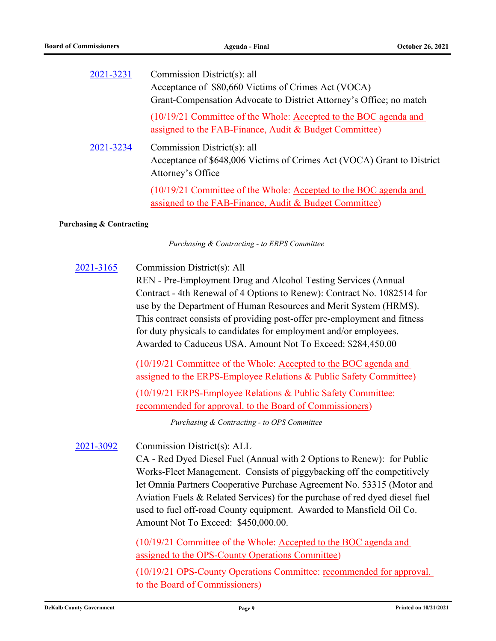| 2021-3231 | Commission District(s): all<br>Acceptance of \$80,660 Victims of Crimes Act (VOCA)<br>Grant-Compensation Advocate to District Attorney's Office; no match |
|-----------|-----------------------------------------------------------------------------------------------------------------------------------------------------------|
|           | (10/19/21 Committee of the Whole: Accepted to the BOC agenda and<br>assigned to the FAB-Finance, Audit & Budget Committee)                                |
| 2021-3234 | Commission District(s): all<br>Acceptance of \$648,006 Victims of Crimes Act (VOCA) Grant to District<br>Attorney's Office                                |
|           | (10/19/21 Committee of the Whole: Accepted to the BOC agenda and<br>assigned to the FAB-Finance, Audit & Budget Committee)                                |

#### **Purchasing & Contracting**

*Purchasing & Contracting - to ERPS Committee*

Commission District(s): All REN - Pre-Employment Drug and Alcohol Testing Services (Annual Contract - 4th Renewal of 4 Options to Renew): Contract No. 1082514 for use by the Department of Human Resources and Merit System (HRMS). This contract consists of providing post-offer pre-employment and fitness for duty physicals to candidates for employment and/or employees. Awarded to Caduceus USA. Amount Not To Exceed: \$284,450.00 [2021-3165](http://dekalbcountyga.legistar.com/gateway.aspx?m=l&id=/matter.aspx?key=9401)

> (10/19/21 Committee of the Whole: Accepted to the BOC agenda and assigned to the ERPS-Employee Relations & Public Safety Committee)

(10/19/21 ERPS-Employee Relations & Public Safety Committee: recommended for approval. to the Board of Commissioners)

*Purchasing & Contracting - to OPS Committee*

Commission District(s): ALL [2021-3092](http://dekalbcountyga.legistar.com/gateway.aspx?m=l&id=/matter.aspx?key=9328)

> CA - Red Dyed Diesel Fuel (Annual with 2 Options to Renew): for Public Works-Fleet Management. Consists of piggybacking off the competitively let Omnia Partners Cooperative Purchase Agreement No. 53315 (Motor and Aviation Fuels & Related Services) for the purchase of red dyed diesel fuel used to fuel off-road County equipment. Awarded to Mansfield Oil Co. Amount Not To Exceed: \$450,000.00.

(10/19/21 Committee of the Whole: Accepted to the BOC agenda and assigned to the OPS-County Operations Committee)

(10/19/21 OPS-County Operations Committee: recommended for approval. to the Board of Commissioners)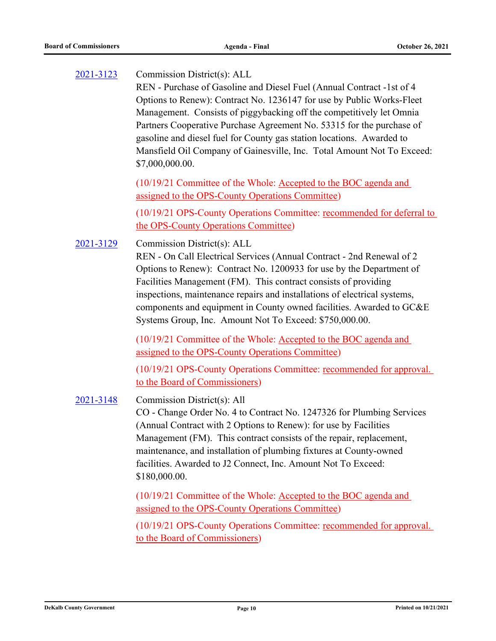| 2021-3123 | Commission District(s): ALL<br>REN - Purchase of Gasoline and Diesel Fuel (Annual Contract -1st of 4<br>Options to Renew): Contract No. 1236147 for use by Public Works-Fleet<br>Management. Consists of piggybacking off the competitively let Omnia<br>Partners Cooperative Purchase Agreement No. 53315 for the purchase of<br>gasoline and diesel fuel for County gas station locations. Awarded to<br>Mansfield Oil Company of Gainesville, Inc. Total Amount Not To Exceed:<br>\$7,000,000.00. |
|-----------|------------------------------------------------------------------------------------------------------------------------------------------------------------------------------------------------------------------------------------------------------------------------------------------------------------------------------------------------------------------------------------------------------------------------------------------------------------------------------------------------------|
|           | (10/19/21 Committee of the Whole: Accepted to the BOC agenda and<br>assigned to the OPS-County Operations Committee)                                                                                                                                                                                                                                                                                                                                                                                 |
|           | (10/19/21 OPS-County Operations Committee: recommended for deferral to<br>the OPS-County Operations Committee)                                                                                                                                                                                                                                                                                                                                                                                       |
| 2021-3129 | Commission District(s): ALL<br>REN - On Call Electrical Services (Annual Contract - 2nd Renewal of 2<br>Options to Renew): Contract No. 1200933 for use by the Department of<br>Facilities Management (FM). This contract consists of providing<br>inspections, maintenance repairs and installations of electrical systems,<br>components and equipment in County owned facilities. Awarded to GC&E<br>Systems Group, Inc. Amount Not To Exceed: \$750,000.00.                                      |
|           | (10/19/21 Committee of the Whole: Accepted to the BOC agenda and<br>assigned to the OPS-County Operations Committee)                                                                                                                                                                                                                                                                                                                                                                                 |
|           | (10/19/21 OPS-County Operations Committee: recommended for approval.<br>to the Board of Commissioners)                                                                                                                                                                                                                                                                                                                                                                                               |
| 2021-3148 | Commission District(s): All<br>CO - Change Order No. 4 to Contract No. 1247326 for Plumbing Services<br>(Annual Contract with 2 Options to Renew): for use by Facilities<br>Management (FM). This contract consists of the repair, replacement,<br>maintenance, and installation of plumbing fixtures at County-owned<br>facilities. Awarded to J2 Connect, Inc. Amount Not To Exceed:<br>\$180,000.00.                                                                                              |
|           | (10/19/21 Committee of the Whole: Accepted to the BOC agenda and<br>assigned to the OPS-County Operations Committee)                                                                                                                                                                                                                                                                                                                                                                                 |
|           | (10/19/21 OPS-County Operations Committee: recommended for approval.                                                                                                                                                                                                                                                                                                                                                                                                                                 |

to the Board of Commissioners)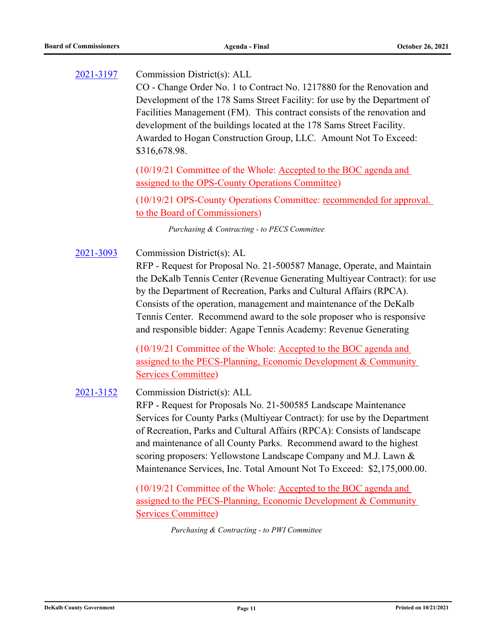Commission District(s): ALL CO - Change Order No. 1 to Contract No. 1217880 for the Renovation and Development of the 178 Sams Street Facility: for use by the Department of Facilities Management (FM). This contract consists of the renovation and development of the buildings located at the 178 Sams Street Facility. Awarded to Hogan Construction Group, LLC. Amount Not To Exceed: \$316,678.98. [2021-3197](http://dekalbcountyga.legistar.com/gateway.aspx?m=l&id=/matter.aspx?key=9433)

> (10/19/21 Committee of the Whole: Accepted to the BOC agenda and assigned to the OPS-County Operations Committee)

(10/19/21 OPS-County Operations Committee: recommended for approval. to the Board of Commissioners)

*Purchasing & Contracting - to PECS Committee*

Commission District(s): AL RFP - Request for Proposal No. 21-500587 Manage, Operate, and Maintain the DeKalb Tennis Center (Revenue Generating Multiyear Contract): for use by the Department of Recreation, Parks and Cultural Affairs (RPCA). Consists of the operation, management and maintenance of the DeKalb Tennis Center. Recommend award to the sole proposer who is responsive and responsible bidder: Agape Tennis Academy: Revenue Generating [2021-3093](http://dekalbcountyga.legistar.com/gateway.aspx?m=l&id=/matter.aspx?key=9329)

> (10/19/21 Committee of the Whole: Accepted to the BOC agenda and assigned to the PECS-Planning, Economic Development & Community Services Committee)

Commission District(s): ALL RFP - Request for Proposals No. 21-500585 Landscape Maintenance Services for County Parks (Multiyear Contract): for use by the Department of Recreation, Parks and Cultural Affairs (RPCA): Consists of landscape and maintenance of all County Parks. Recommend award to the highest scoring proposers: Yellowstone Landscape Company and M.J. Lawn & Maintenance Services, Inc. Total Amount Not To Exceed: \$2,175,000.00. [2021-3152](http://dekalbcountyga.legistar.com/gateway.aspx?m=l&id=/matter.aspx?key=9388)

> (10/19/21 Committee of the Whole: Accepted to the BOC agenda and assigned to the PECS-Planning, Economic Development & Community Services Committee)

> > *Purchasing & Contracting - to PWI Committee*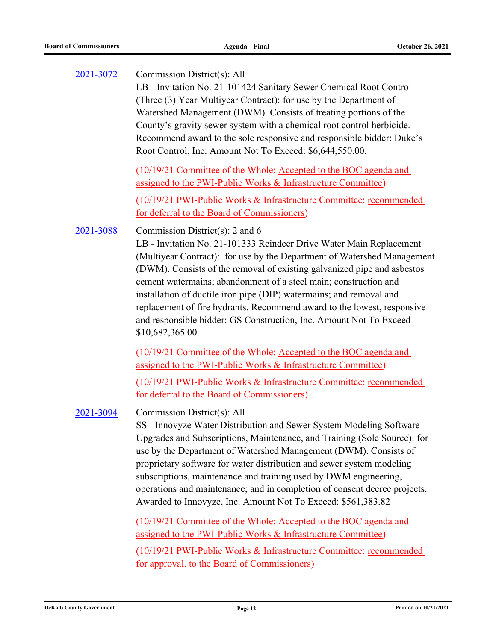| 2021-3072 | Commission District(s): All<br>LB - Invitation No. 21-101424 Sanitary Sewer Chemical Root Control<br>(Three (3) Year Multiyear Contract): for use by the Department of<br>Watershed Management (DWM). Consists of treating portions of the<br>County's gravity sewer system with a chemical root control herbicide.<br>Recommend award to the sole responsive and responsible bidder: Duke's<br>Root Control, Inc. Amount Not To Exceed: \$6,644,550.00.                                                                                                                     |
|-----------|------------------------------------------------------------------------------------------------------------------------------------------------------------------------------------------------------------------------------------------------------------------------------------------------------------------------------------------------------------------------------------------------------------------------------------------------------------------------------------------------------------------------------------------------------------------------------|
|           | (10/19/21 Committee of the Whole: Accepted to the BOC agenda and<br>assigned to the PWI-Public Works & Infrastructure Committee)                                                                                                                                                                                                                                                                                                                                                                                                                                             |
|           | (10/19/21 PWI-Public Works & Infrastructure Committee: recommended<br>for deferral to the Board of Commissioners)                                                                                                                                                                                                                                                                                                                                                                                                                                                            |
| 2021-3088 | Commission District(s): 2 and 6<br>LB - Invitation No. 21-101333 Reindeer Drive Water Main Replacement<br>(Multiyear Contract): for use by the Department of Watershed Management<br>(DWM). Consists of the removal of existing galvanized pipe and asbestos<br>cement watermains; abandonment of a steel main; construction and<br>installation of ductile iron pipe (DIP) watermains; and removal and<br>replacement of fire hydrants. Recommend award to the lowest, responsive<br>and responsible bidder: GS Construction, Inc. Amount Not To Exceed<br>\$10,682,365.00. |
|           | (10/19/21 Committee of the Whole: Accepted to the BOC agenda and<br>assigned to the PWI-Public Works & Infrastructure Committee)                                                                                                                                                                                                                                                                                                                                                                                                                                             |
|           | (10/19/21 PWI-Public Works & Infrastructure Committee: recommended<br>for deferral to the Board of Commissioners)                                                                                                                                                                                                                                                                                                                                                                                                                                                            |
| 2021-3094 | Commission District(s): All<br>SS - Innovyze Water Distribution and Sewer System Modeling Software<br>Upgrades and Subscriptions, Maintenance, and Training (Sole Source): for<br>use by the Department of Watershed Management (DWM). Consists of<br>proprietary software for water distribution and sewer system modeling<br>subscriptions, maintenance and training used by DWM engineering,<br>operations and maintenance; and in completion of consent decree projects.<br>Awarded to Innovyze, Inc. Amount Not To Exceed: \$561,383.82                                 |
|           | (10/19/21 Committee of the Whole: Accepted to the BOC agenda and<br>assigned to the PWI-Public Works & Infrastructure Committee)                                                                                                                                                                                                                                                                                                                                                                                                                                             |
|           | (10/19/21 PWI-Public Works & Infrastructure Committee: recommended<br>for approval. to the Board of Commissioners)                                                                                                                                                                                                                                                                                                                                                                                                                                                           |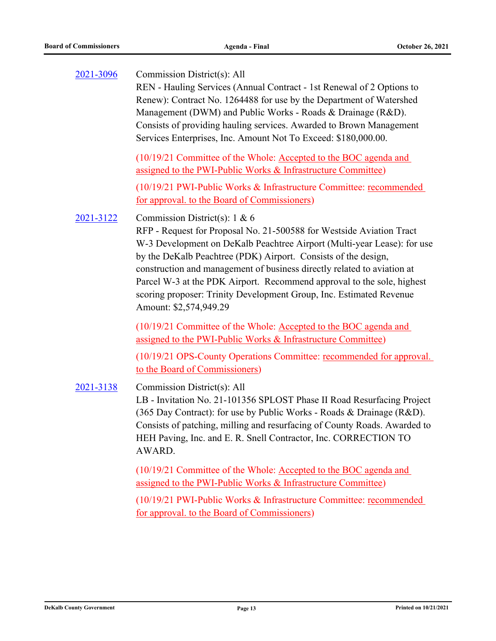| 2021-3096 | Commission District(s): All<br>REN - Hauling Services (Annual Contract - 1st Renewal of 2 Options to<br>Renew): Contract No. 1264488 for use by the Department of Watershed<br>Management (DWM) and Public Works - Roads & Drainage (R&D).<br>Consists of providing hauling services. Awarded to Brown Management<br>Services Enterprises, Inc. Amount Not To Exceed: \$180,000.00.                                                                                                                         |
|-----------|-------------------------------------------------------------------------------------------------------------------------------------------------------------------------------------------------------------------------------------------------------------------------------------------------------------------------------------------------------------------------------------------------------------------------------------------------------------------------------------------------------------|
|           | (10/19/21 Committee of the Whole: Accepted to the BOC agenda and<br>assigned to the PWI-Public Works & Infrastructure Committee)                                                                                                                                                                                                                                                                                                                                                                            |
|           | (10/19/21 PWI-Public Works & Infrastructure Committee: recommended<br>for approval. to the Board of Commissioners)                                                                                                                                                                                                                                                                                                                                                                                          |
| 2021-3122 | Commission District(s): $1 \& 6$<br>RFP - Request for Proposal No. 21-500588 for Westside Aviation Tract<br>W-3 Development on DeKalb Peachtree Airport (Multi-year Lease): for use<br>by the DeKalb Peachtree (PDK) Airport. Consists of the design,<br>construction and management of business directly related to aviation at<br>Parcel W-3 at the PDK Airport. Recommend approval to the sole, highest<br>scoring proposer: Trinity Development Group, Inc. Estimated Revenue<br>Amount: \$2,574,949.29 |
|           | (10/19/21 Committee of the Whole: Accepted to the BOC agenda and<br>assigned to the PWI-Public Works & Infrastructure Committee)                                                                                                                                                                                                                                                                                                                                                                            |
|           | (10/19/21 OPS-County Operations Committee: recommended for approval.<br>to the Board of Commissioners)                                                                                                                                                                                                                                                                                                                                                                                                      |
| 2021-3138 | Commission District(s): All<br>LB - Invitation No. 21-101356 SPLOST Phase II Road Resurfacing Project<br>(365 Day Contract): for use by Public Works - Roads & Drainage (R&D).<br>Consists of patching, milling and resurfacing of County Roads. Awarded to<br>HEH Paving, Inc. and E. R. Snell Contractor, Inc. CORRECTION TO<br>AWARD.                                                                                                                                                                    |
|           | (10/19/21 Committee of the Whole: Accepted to the BOC agenda and<br>assigned to the PWI-Public Works & Infrastructure Committee)                                                                                                                                                                                                                                                                                                                                                                            |
|           | (10/19/21 PWI-Public Works & Infrastructure Committee: recommended<br>for approval. to the Board of Commissioners)                                                                                                                                                                                                                                                                                                                                                                                          |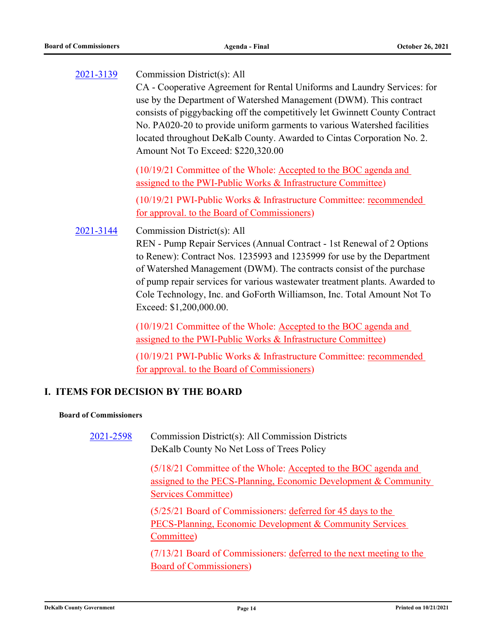| 2021-3139                     | Commission District(s): All<br>CA - Cooperative Agreement for Rental Uniforms and Laundry Services: for<br>use by the Department of Watershed Management (DWM). This contract<br>consists of piggybacking off the competitively let Gwinnett County Contract<br>No. PA020-20 to provide uniform garments to various Watershed facilities<br>located throughout DeKalb County. Awarded to Cintas Corporation No. 2.<br>Amount Not To Exceed: \$220,320.00                                    |
|-------------------------------|---------------------------------------------------------------------------------------------------------------------------------------------------------------------------------------------------------------------------------------------------------------------------------------------------------------------------------------------------------------------------------------------------------------------------------------------------------------------------------------------|
|                               | (10/19/21 Committee of the Whole: Accepted to the BOC agenda and<br>assigned to the PWI-Public Works & Infrastructure Committee)<br>(10/19/21 PWI-Public Works & Infrastructure Committee: recommended                                                                                                                                                                                                                                                                                      |
| 2021-3144                     | for approval. to the Board of Commissioners)<br>Commission District(s): All<br>REN - Pump Repair Services (Annual Contract - 1st Renewal of 2 Options<br>to Renew): Contract Nos. 1235993 and 1235999 for use by the Department<br>of Watershed Management (DWM). The contracts consist of the purchase<br>of pump repair services for various wastewater treatment plants. Awarded to<br>Cole Technology, Inc. and GoForth Williamson, Inc. Total Amount Not To<br>Exceed: \$1,200,000.00. |
|                               | (10/19/21 Committee of the Whole: Accepted to the BOC agenda and<br>assigned to the PWI-Public Works & Infrastructure Committee)<br>(10/19/21 PWI-Public Works & Infrastructure Committee: recommended                                                                                                                                                                                                                                                                                      |
|                               | for approval. to the Board of Commissioners)<br>I. ITEMS FOR DECISION BY THE BOARD                                                                                                                                                                                                                                                                                                                                                                                                          |
| <b>Board of Commissioners</b> |                                                                                                                                                                                                                                                                                                                                                                                                                                                                                             |
| 2021-2598                     | Commission District(s): All Commission Districts<br>DeKalb County No Net Loss of Trees Policy                                                                                                                                                                                                                                                                                                                                                                                               |
|                               | (5/18/21 Committee of the Whole: Accepted to the BOC agenda and<br>assigned to the PECS-Planning, Economic Development & Community<br><b>Services Committee)</b>                                                                                                                                                                                                                                                                                                                            |
|                               | (5/25/21 Board of Commissioners: deferred for 45 days to the<br><b>PECS-Planning, Economic Development &amp; Community Services</b><br>Committee)                                                                                                                                                                                                                                                                                                                                           |
|                               |                                                                                                                                                                                                                                                                                                                                                                                                                                                                                             |

(7/13/21 Board of Commissioners: deferred to the next meeting to the Board of Commissioners)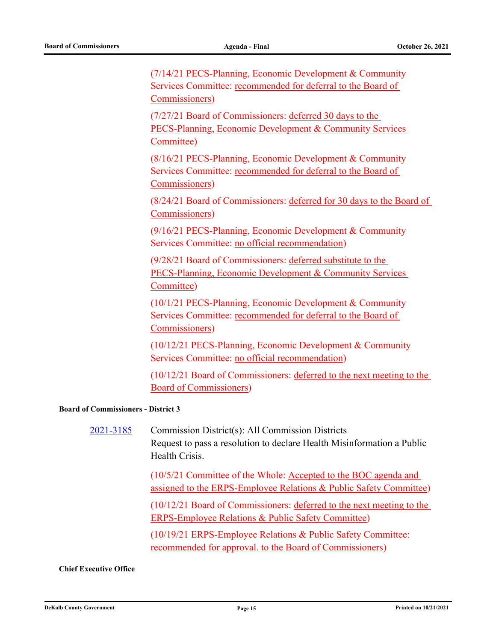(7/14/21 PECS-Planning, Economic Development & Community Services Committee: recommended for deferral to the Board of Commissioners)

(7/27/21 Board of Commissioners: deferred 30 days to the PECS-Planning, Economic Development & Community Services Committee)

(8/16/21 PECS-Planning, Economic Development & Community Services Committee: recommended for deferral to the Board of Commissioners)

(8/24/21 Board of Commissioners: deferred for 30 days to the Board of Commissioners)

(9/16/21 PECS-Planning, Economic Development & Community Services Committee: no official recommendation)

(9/28/21 Board of Commissioners: deferred substitute to the PECS-Planning, Economic Development & Community Services Committee)

(10/1/21 PECS-Planning, Economic Development & Community Services Committee: recommended for deferral to the Board of Commissioners)

(10/12/21 PECS-Planning, Economic Development & Community Services Committee: no official recommendation)

(10/12/21 Board of Commissioners: deferred to the next meeting to the Board of Commissioners)

#### **Board of Commissioners - District 3**

Commission District(s): All Commission Districts Request to pass a resolution to declare Health Misinformation a Public Health Crisis. [2021-3185](http://dekalbcountyga.legistar.com/gateway.aspx?m=l&id=/matter.aspx?key=9421)

> (10/5/21 Committee of the Whole: Accepted to the BOC agenda and assigned to the ERPS-Employee Relations & Public Safety Committee)

> (10/12/21 Board of Commissioners: deferred to the next meeting to the ERPS-Employee Relations & Public Safety Committee)

(10/19/21 ERPS-Employee Relations & Public Safety Committee: recommended for approval. to the Board of Commissioners)

#### **Chief Executive Office**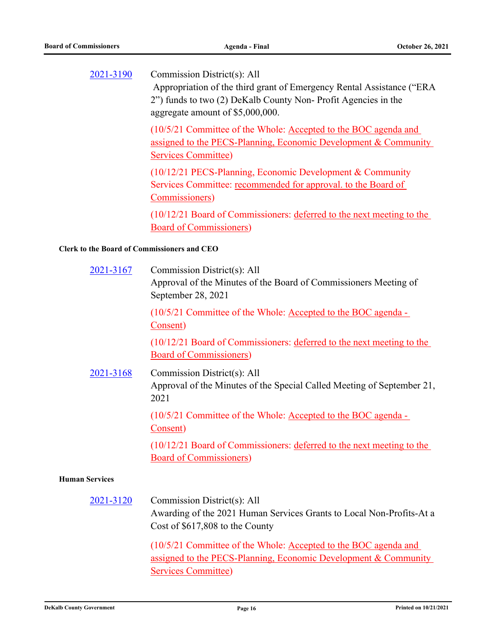Commission District(s): All Appropriation of the third grant of Emergency Rental Assistance ("ERA 2") funds to two (2) DeKalb County Non- Profit Agencies in the aggregate amount of \$5,000,000. [2021-3190](http://dekalbcountyga.legistar.com/gateway.aspx?m=l&id=/matter.aspx?key=9426)

> (10/5/21 Committee of the Whole: Accepted to the BOC agenda and assigned to the PECS-Planning, Economic Development & Community Services Committee)

(10/12/21 PECS-Planning, Economic Development & Community Services Committee: recommended for approval. to the Board of Commissioners)

(10/12/21 Board of Commissioners: deferred to the next meeting to the Board of Commissioners)

#### **Clerk to the Board of Commissioners and CEO**

| 2021-3167       | Commission District(s): All<br>Approval of the Minutes of the Board of Commissioners Meeting of<br>September 28, 2021                   |
|-----------------|-----------------------------------------------------------------------------------------------------------------------------------------|
|                 | (10/5/21 Committee of the Whole: Accepted to the BOC agenda -<br>Consent)                                                               |
|                 | (10/12/21 Board of Commissioners: deferred to the next meeting to the<br><b>Board of Commissioners)</b>                                 |
| 2021-3168       | Commission District(s): All<br>Approval of the Minutes of the Special Called Meeting of September 21,<br>2021                           |
|                 | (10/5/21 Committee of the Whole: Accepted to the BOC agenda -<br>Consent)                                                               |
|                 | (10/12/21 Board of Commissioners: deferred to the next meeting to the<br><b>Board of Commissioners)</b>                                 |
| <b>Services</b> |                                                                                                                                         |
| 2021-3120       | Commission District(s): All<br>Awarding of the 2021 Human Services Grants to Local Non-Profits-At a<br>Cost of $$617,808$ to the County |
|                 | (10/5/21 Committee of the Whole: Accepted to the BOC agenda and<br>assigned to the PECS-Planning, Economic Development & Community      |

Services Committee)

Human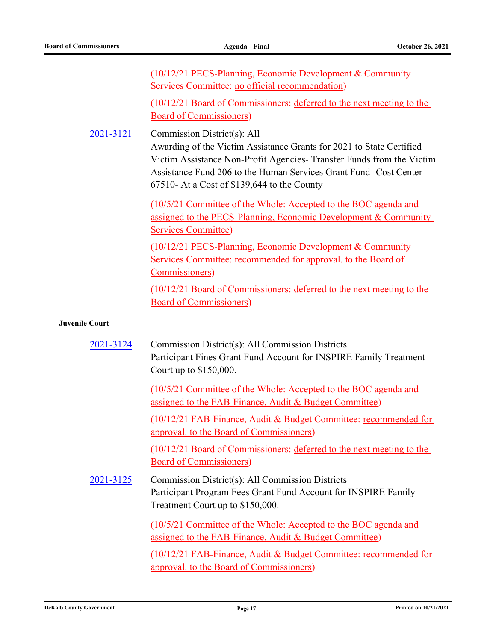|                       | (10/12/21 PECS-Planning, Economic Development & Community<br>Services Committee: no official recommendation)                                                                                                                                                                                     |
|-----------------------|--------------------------------------------------------------------------------------------------------------------------------------------------------------------------------------------------------------------------------------------------------------------------------------------------|
|                       | (10/12/21 Board of Commissioners: deferred to the next meeting to the<br><b>Board of Commissioners)</b>                                                                                                                                                                                          |
| 2021-3121             | Commission District(s): All<br>Awarding of the Victim Assistance Grants for 2021 to State Certified<br>Victim Assistance Non-Profit Agencies- Transfer Funds from the Victim<br>Assistance Fund 206 to the Human Services Grant Fund- Cost Center<br>67510- At a Cost of \$139,644 to the County |
|                       | (10/5/21 Committee of the Whole: Accepted to the BOC agenda and<br>assigned to the PECS-Planning, Economic Development & Community<br><b>Services Committee)</b>                                                                                                                                 |
|                       | (10/12/21 PECS-Planning, Economic Development & Community<br>Services Committee: recommended for approval. to the Board of<br>Commissioners)                                                                                                                                                     |
|                       | $(10/12/21$ Board of Commissioners: deferred to the next meeting to the<br><b>Board of Commissioners)</b>                                                                                                                                                                                        |
| <b>Juvenile Court</b> |                                                                                                                                                                                                                                                                                                  |
| 2021-3124             | Commission District(s): All Commission Districts<br>Participant Fines Grant Fund Account for INSPIRE Family Treatment<br>Court up to \$150,000.                                                                                                                                                  |
|                       | (10/5/21 Committee of the Whole: Accepted to the BOC agenda and<br>assigned to the FAB-Finance, Audit & Budget Committee)                                                                                                                                                                        |
|                       | (10/12/21 FAB-Finance, Audit & Budget Committee: recommended for<br>approval. to the Board of Commissioners)                                                                                                                                                                                     |
|                       | (10/12/21 Board of Commissioners: deferred to the next meeting to the                                                                                                                                                                                                                            |

Board of Commissioners)

Commission District(s): All Commission Districts Participant Program Fees Grant Fund Account for INSPIRE Family Treatment Court up to \$150,000. [2021-3125](http://dekalbcountyga.legistar.com/gateway.aspx?m=l&id=/matter.aspx?key=9361)

> (10/5/21 Committee of the Whole: Accepted to the BOC agenda and assigned to the FAB-Finance, Audit & Budget Committee)

(10/12/21 FAB-Finance, Audit & Budget Committee: recommended for approval. to the Board of Commissioners)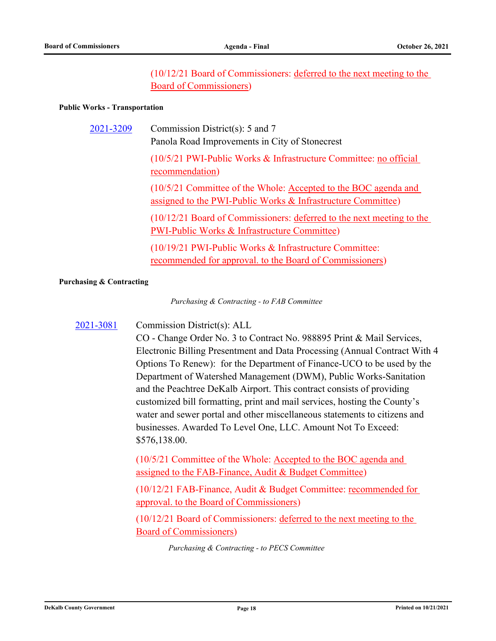(10/12/21 Board of Commissioners: deferred to the next meeting to the Board of Commissioners)

#### **Public Works - Transportation**

| 2021-3209 | Commission District(s): $5$ and $7$<br>Panola Road Improvements in City of Stonecrest                                              |
|-----------|------------------------------------------------------------------------------------------------------------------------------------|
|           | (10/5/21 PWI-Public Works & Infrastructure Committee: no official<br>recommendation)                                               |
|           | (10/5/21 Committee of the Whole: Accepted to the BOC agenda and<br>assigned to the PWI-Public Works & Infrastructure Committee)    |
|           | $(10/12/21$ Board of Commissioners: deferred to the next meeting to the<br><b>PWI-Public Works &amp; Infrastructure Committee)</b> |
|           | (10/19/21 PWI-Public Works & Infrastructure Committee:<br>recommended for approval. to the Board of Commissioners)                 |

#### **Purchasing & Contracting**

*Purchasing & Contracting - to FAB Committee*

#### [2021-3081](http://dekalbcountyga.legistar.com/gateway.aspx?m=l&id=/matter.aspx?key=9317)

Commission District(s): ALL

CO - Change Order No. 3 to Contract No. 988895 Print & Mail Services, Electronic Billing Presentment and Data Processing (Annual Contract With 4 Options To Renew): for the Department of Finance-UCO to be used by the Department of Watershed Management (DWM), Public Works-Sanitation and the Peachtree DeKalb Airport. This contract consists of providing customized bill formatting, print and mail services, hosting the County's water and sewer portal and other miscellaneous statements to citizens and businesses. Awarded To Level One, LLC. Amount Not To Exceed: \$576,138.00.

(10/5/21 Committee of the Whole: Accepted to the BOC agenda and assigned to the FAB-Finance, Audit & Budget Committee)

(10/12/21 FAB-Finance, Audit & Budget Committee: recommended for approval. to the Board of Commissioners)

(10/12/21 Board of Commissioners: deferred to the next meeting to the Board of Commissioners)

*Purchasing & Contracting - to PECS Committee*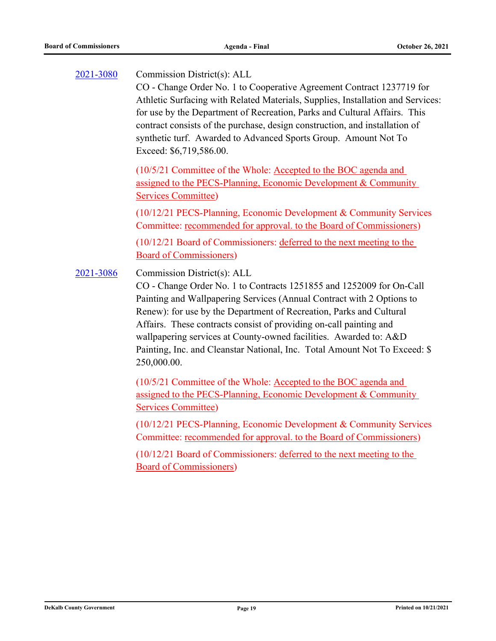| 2021-3080 | Commission District(s): ALL<br>CO - Change Order No. 1 to Cooperative Agreement Contract 1237719 for<br>Athletic Surfacing with Related Materials, Supplies, Installation and Services:<br>for use by the Department of Recreation, Parks and Cultural Affairs. This<br>contract consists of the purchase, design construction, and installation of<br>synthetic turf. Awarded to Advanced Sports Group. Amount Not To<br>Exceed: \$6,719,586.00.                                           |
|-----------|---------------------------------------------------------------------------------------------------------------------------------------------------------------------------------------------------------------------------------------------------------------------------------------------------------------------------------------------------------------------------------------------------------------------------------------------------------------------------------------------|
|           | (10/5/21 Committee of the Whole: Accepted to the BOC agenda and<br>assigned to the PECS-Planning, Economic Development & Community<br>Services Committee)                                                                                                                                                                                                                                                                                                                                   |
|           | (10/12/21 PECS-Planning, Economic Development & Community Services<br>Committee: recommended for approval. to the Board of Commissioners)                                                                                                                                                                                                                                                                                                                                                   |
|           | (10/12/21 Board of Commissioners: deferred to the next meeting to the<br><b>Board of Commissioners)</b>                                                                                                                                                                                                                                                                                                                                                                                     |
| 2021-3086 | Commission District(s): ALL<br>CO - Change Order No. 1 to Contracts 1251855 and 1252009 for On-Call<br>Painting and Wallpapering Services (Annual Contract with 2 Options to<br>Renew): for use by the Department of Recreation, Parks and Cultural<br>Affairs. These contracts consist of providing on-call painting and<br>wallpapering services at County-owned facilities. Awarded to: A&D<br>Painting, Inc. and Cleanstar National, Inc. Total Amount Not To Exceed: \$<br>250,000.00. |
|           | (10/5/21 Committee of the Whole: Accepted to the BOC agenda and<br>assigned to the PECS-Planning, Economic Development & Community<br><b>Services Committee)</b>                                                                                                                                                                                                                                                                                                                            |
|           | (10/12/21 PECS-Planning, Economic Development & Community Services<br>Committee: recommended for approval. to the Board of Commissioners)                                                                                                                                                                                                                                                                                                                                                   |
|           | (10/12/21 Board of Commissioners: deferred to the next meeting to the<br><b>Board of Commissioners)</b>                                                                                                                                                                                                                                                                                                                                                                                     |
|           |                                                                                                                                                                                                                                                                                                                                                                                                                                                                                             |
|           |                                                                                                                                                                                                                                                                                                                                                                                                                                                                                             |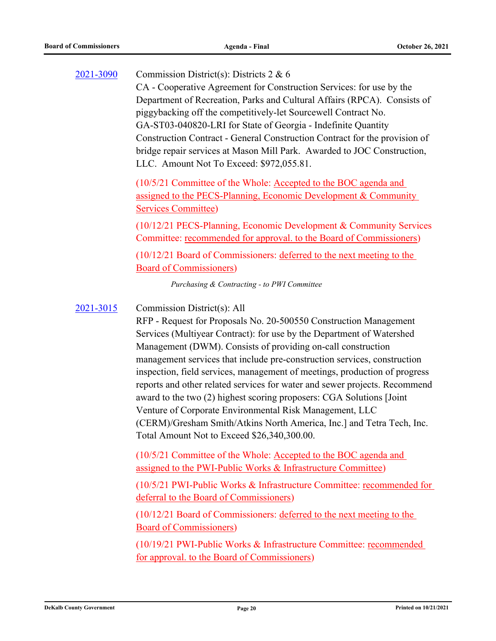| 2021-3090 | Commission District(s): Districts $2 & 6$                                  |
|-----------|----------------------------------------------------------------------------|
|           | CA - Cooperative Agreement for Construction Services: for use by the       |
|           | Department of Recreation, Parks and Cultural Affairs (RPCA). Consists of   |
|           | piggybacking off the competitively-let Sourcewell Contract No.             |
|           | GA-ST03-040820-LRI for State of Georgia - Indefinite Quantity              |
|           | Construction Contract - General Construction Contract for the provision of |
|           | bridge repair services at Mason Mill Park. Awarded to JOC Construction,    |
|           | LLC. Amount Not To Exceed: \$972,055.81.                                   |

(10/5/21 Committee of the Whole: Accepted to the BOC agenda and assigned to the PECS-Planning, Economic Development & Community Services Committee)

(10/12/21 PECS-Planning, Economic Development & Community Services Committee: recommended for approval. to the Board of Commissioners)

(10/12/21 Board of Commissioners: deferred to the next meeting to the Board of Commissioners)

*Purchasing & Contracting - to PWI Committee*

Commission District(s): All [2021-3015](http://dekalbcountyga.legistar.com/gateway.aspx?m=l&id=/matter.aspx?key=9251)

> RFP - Request for Proposals No. 20-500550 Construction Management Services (Multiyear Contract): for use by the Department of Watershed Management (DWM). Consists of providing on-call construction management services that include pre-construction services, construction inspection, field services, management of meetings, production of progress reports and other related services for water and sewer projects. Recommend award to the two (2) highest scoring proposers: CGA Solutions [Joint Venture of Corporate Environmental Risk Management, LLC (CERM)/Gresham Smith/Atkins North America, Inc.] and Tetra Tech, Inc. Total Amount Not to Exceed \$26,340,300.00.

(10/5/21 Committee of the Whole: Accepted to the BOC agenda and assigned to the PWI-Public Works & Infrastructure Committee)

(10/5/21 PWI-Public Works & Infrastructure Committee: recommended for deferral to the Board of Commissioners)

(10/12/21 Board of Commissioners: deferred to the next meeting to the Board of Commissioners)

(10/19/21 PWI-Public Works & Infrastructure Committee: recommended for approval. to the Board of Commissioners)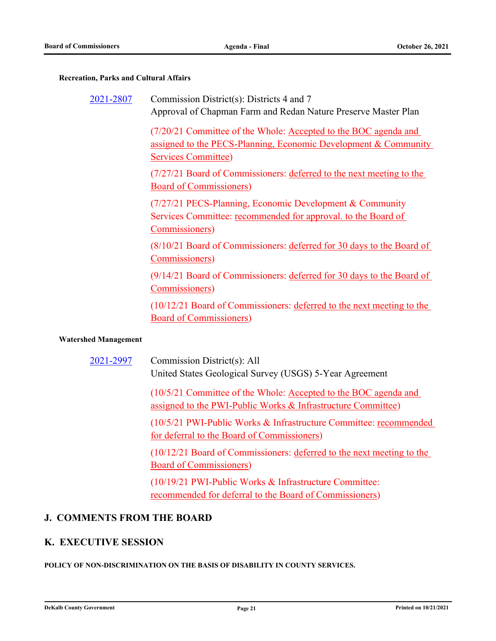#### **Recreation, Parks and Cultural Affairs**

| 2021-2807     | Commission District(s): Districts 4 and 7<br>Approval of Chapman Farm and Redan Nature Preserve Master Plan                                                      |
|---------------|------------------------------------------------------------------------------------------------------------------------------------------------------------------|
|               | (7/20/21 Committee of the Whole: Accepted to the BOC agenda and<br>assigned to the PECS-Planning, Economic Development & Community<br><b>Services Committee)</b> |
|               | (7/27/21 Board of Commissioners: deferred to the next meeting to the<br><b>Board of Commissioners</b> )                                                          |
|               | (7/27/21 PECS-Planning, Economic Development & Community<br>Services Committee: recommended for approval. to the Board of<br>Commissioners)                      |
|               | (8/10/21 Board of Commissioners: deferred for 30 days to the Board of<br>Commissioners)                                                                          |
|               | (9/14/21 Board of Commissioners: deferred for 30 days to the Board of<br>Commissioners)                                                                          |
|               | (10/12/21 Board of Commissioners: deferred to the next meeting to the<br><b>Board of Commissioners)</b>                                                          |
| ed Management |                                                                                                                                                                  |

### **Watershed Management**

Commission District(s): All United States Geological Survey (USGS) 5-Year Agreement [2021-2997](http://dekalbcountyga.legistar.com/gateway.aspx?m=l&id=/matter.aspx?key=9233)

> (10/5/21 Committee of the Whole: Accepted to the BOC agenda and assigned to the PWI-Public Works & Infrastructure Committee)

(10/5/21 PWI-Public Works & Infrastructure Committee: recommended for deferral to the Board of Commissioners)

(10/12/21 Board of Commissioners: deferred to the next meeting to the Board of Commissioners)

(10/19/21 PWI-Public Works & Infrastructure Committee: recommended for deferral to the Board of Commissioners)

# **J. COMMENTS FROM THE BOARD**

# **K. EXECUTIVE SESSION**

**POLICY OF NON-DISCRIMINATION ON THE BASIS OF DISABILITY IN COUNTY SERVICES.**